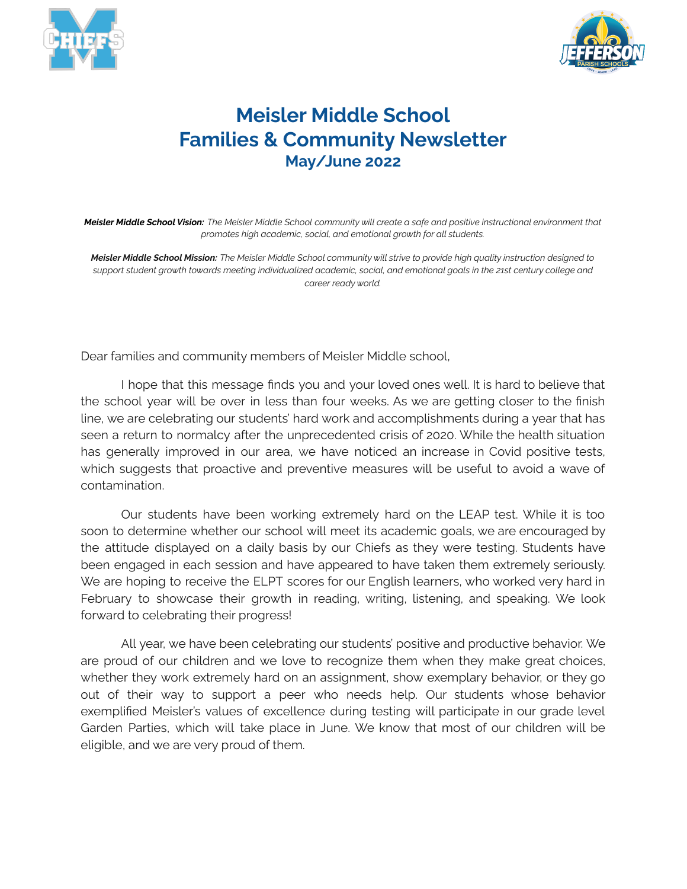



## **Meisler Middle School Families & Community Newsletter May/June 2022**

Meisler Middle School Vision: The Meisler Middle School community will create a safe and positive instructional environment that *promotes high academic, social, and emotional growth for all students.*

Meisler Middle School Mission: The Meisler Middle School community will strive to provide high quality instruction designed to support student growth towards meeting individualized academic, social, and emotional goals in the 21st century college and *career ready world.*

Dear families and community members of Meisler Middle school,

I hope that this message finds you and your loved ones well. It is hard to believe that the school year will be over in less than four weeks. As we are getting closer to the finish line, we are celebrating our students' hard work and accomplishments during a year that has seen a return to normalcy after the unprecedented crisis of 2020. While the health situation has generally improved in our area, we have noticed an increase in Covid positive tests, which suggests that proactive and preventive measures will be useful to avoid a wave of contamination.

Our students have been working extremely hard on the LEAP test. While it is too soon to determine whether our school will meet its academic goals, we are encouraged by the attitude displayed on a daily basis by our Chiefs as they were testing. Students have been engaged in each session and have appeared to have taken them extremely seriously. We are hoping to receive the ELPT scores for our English learners, who worked very hard in February to showcase their growth in reading, writing, listening, and speaking. We look forward to celebrating their progress!

All year, we have been celebrating our students' positive and productive behavior. We are proud of our children and we love to recognize them when they make great choices, whether they work extremely hard on an assignment, show exemplary behavior, or they go out of their way to support a peer who needs help. Our students whose behavior exemplified Meisler's values of excellence during testing will participate in our grade level Garden Parties, which will take place in June. We know that most of our children will be eligible, and we are very proud of them.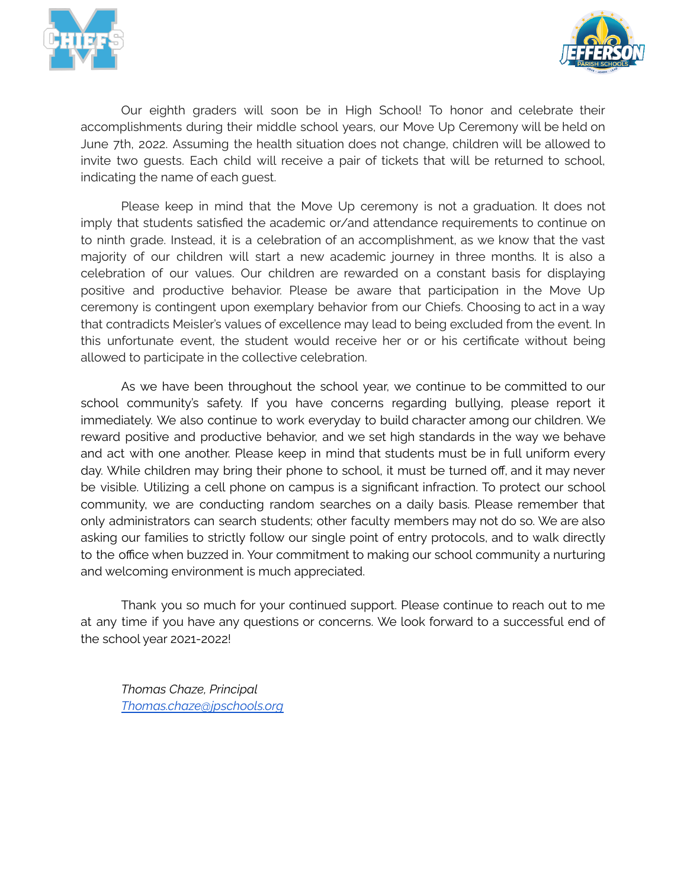



Our eighth graders will soon be in High School! To honor and celebrate their accomplishments during their middle school years, our Move Up Ceremony will be held on June 7th, 2022. Assuming the health situation does not change, children will be allowed to invite two guests. Each child will receive a pair of tickets that will be returned to school, indicating the name of each guest.

Please keep in mind that the Move Up ceremony is not a graduation. It does not imply that students satisfied the academic or/and attendance requirements to continue on to ninth grade. Instead, it is a celebration of an accomplishment, as we know that the vast majority of our children will start a new academic journey in three months. It is also a celebration of our values. Our children are rewarded on a constant basis for displaying positive and productive behavior. Please be aware that participation in the Move Up ceremony is contingent upon exemplary behavior from our Chiefs. Choosing to act in a way that contradicts Meisler's values of excellence may lead to being excluded from the event. In this unfortunate event, the student would receive her or or his certificate without being allowed to participate in the collective celebration.

As we have been throughout the school year, we continue to be committed to our school community's safety. If you have concerns regarding bullying, please report it immediately. We also continue to work everyday to build character among our children. We reward positive and productive behavior, and we set high standards in the way we behave and act with one another. Please keep in mind that students must be in full uniform every day. While children may bring their phone to school, it must be turned off, and it may never be visible. Utilizing a cell phone on campus is a significant infraction. To protect our school community, we are conducting random searches on a daily basis. Please remember that only administrators can search students; other faculty members may not do so. We are also asking our families to strictly follow our single point of entry protocols, and to walk directly to the office when buzzed in. Your commitment to making our school community a nurturing and welcoming environment is much appreciated.

Thank you so much for your continued support. Please continue to reach out to me at any time if you have any questions or concerns. We look forward to a successful end of the school year 2021-2022!

*Thomas Chaze, Principal [Thomas.chaze@jpschools.org](mailto:Thomas.chaze@jpschools.org)*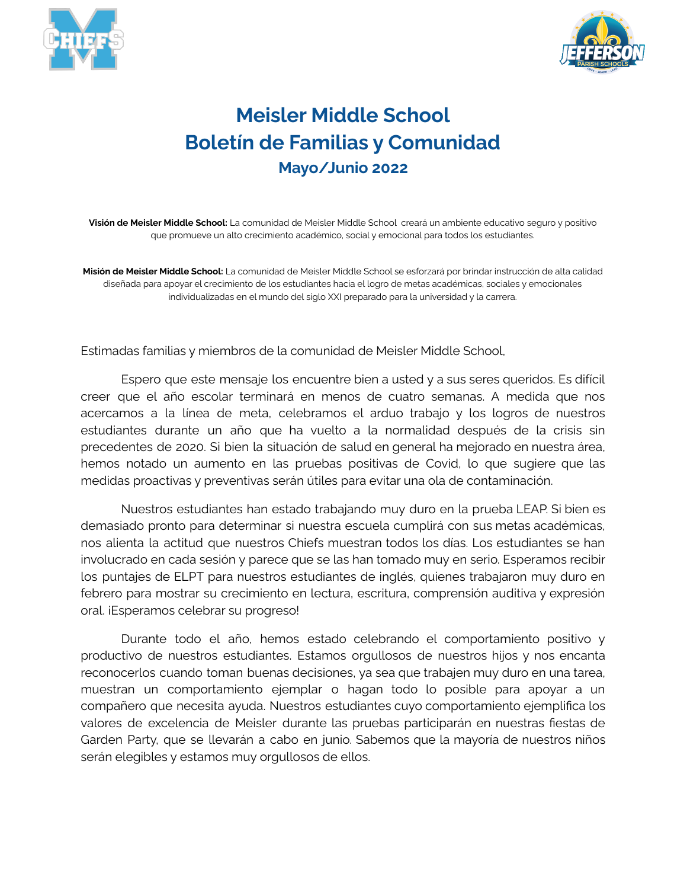



## **Meisler Middle School Boletín de Familias y Comunidad Mayo/Junio 2022**

**Visión de Meisler Middle School:** La comunidad de Meisler Middle School creará un ambiente educativo seguro y positivo que promueve un alto crecimiento académico, social y emocional para todos los estudiantes.

**Misión de Meisler Middle School:** La comunidad de Meisler Middle School se esforzará por brindar instrucción de alta calidad diseñada para apoyar el crecimiento de los estudiantes hacia el logro de metas académicas, sociales y emocionales individualizadas en el mundo del siglo XXI preparado para la universidad y la carrera.

Estimadas familias y miembros de la comunidad de Meisler Middle School,

Espero que este mensaje los encuentre bien a usted y a sus seres queridos. Es difícil creer que el año escolar terminará en menos de cuatro semanas. A medida que nos acercamos a la línea de meta, celebramos el arduo trabajo y los logros de nuestros estudiantes durante un año que ha vuelto a la normalidad después de la crisis sin precedentes de 2020. Si bien la situación de salud en general ha mejorado en nuestra área, hemos notado un aumento en las pruebas positivas de Covid, lo que sugiere que las medidas proactivas y preventivas serán útiles para evitar una ola de contaminación.

Nuestros estudiantes han estado trabajando muy duro en la prueba LEAP. Si bien es demasiado pronto para determinar si nuestra escuela cumplirá con sus metas académicas, nos alienta la actitud que nuestros Chiefs muestran todos los días. Los estudiantes se han involucrado en cada sesión y parece que se las han tomado muy en serio. Esperamos recibir los puntajes de ELPT para nuestros estudiantes de inglés, quienes trabajaron muy duro en febrero para mostrar su crecimiento en lectura, escritura, comprensión auditiva y expresión oral. iEsperamos celebrar su progreso!

Durante todo el año, hemos estado celebrando el comportamiento positivo y productivo de nuestros estudiantes. Estamos orgullosos de nuestros hijos y nos encanta reconocerlos cuando toman buenas decisiones, ya sea que trabajen muy duro en una tarea, muestran un comportamiento ejemplar o hagan todo lo posible para apoyar a un compañero que necesita ayuda. Nuestros estudiantes cuyo comportamiento ejemplifica los valores de excelencia de Meisler durante las pruebas participarán en nuestras fiestas de Garden Party, que se llevarán a cabo en junio. Sabemos que la mayoría de nuestros niños serán elegibles y estamos muy orgullosos de ellos.